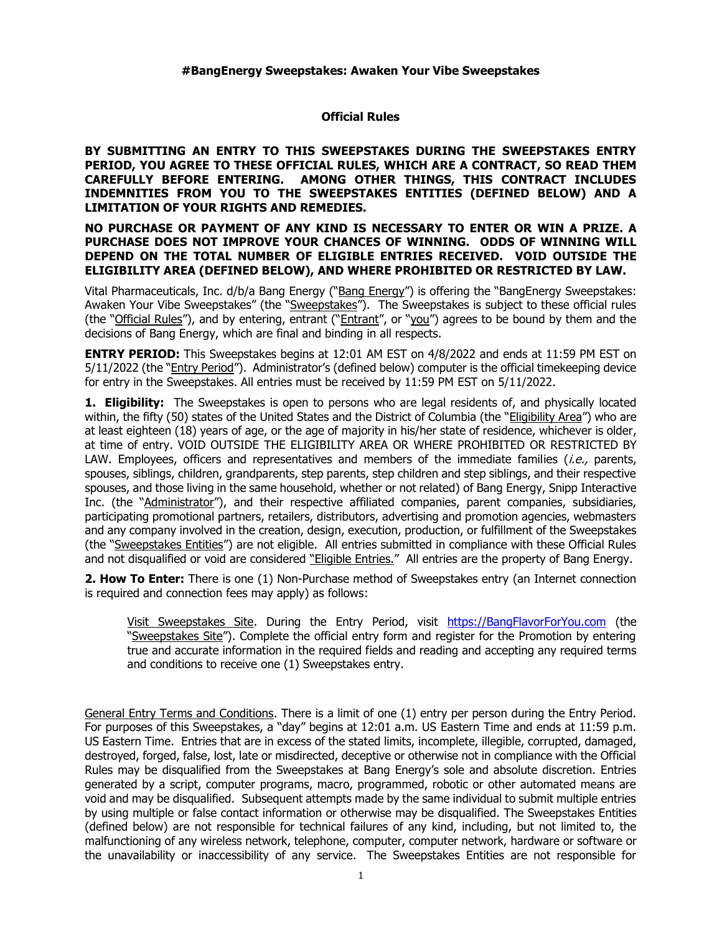## **Official Rules**

**BY SUBMITTING AN ENTRY TO THIS SWEEPSTAKES DURING THE SWEEPSTAKES ENTRY PERIOD, YOU AGREE TO THESE OFFICIAL RULES, WHICH ARE A CONTRACT, SO READ THEM CAREFULLY BEFORE ENTERING. AMONG OTHER THINGS, THIS CONTRACT INCLUDES INDEMNITIES FROM YOU TO THE SWEEPSTAKES ENTITIES (DEFINED BELOW) AND A LIMITATION OF YOUR RIGHTS AND REMEDIES.**

### **NO PURCHASE OR PAYMENT OF ANY KIND IS NECESSARY TO ENTER OR WIN A PRIZE. A PURCHASE DOES NOT IMPROVE YOUR CHANCES OF WINNING. ODDS OF WINNING WILL DEPEND ON THE TOTAL NUMBER OF ELIGIBLE ENTRIES RECEIVED. VOID OUTSIDE THE ELIGIBILITY AREA (DEFINED BELOW), AND WHERE PROHIBITED OR RESTRICTED BY LAW.**

Vital Pharmaceuticals, Inc. d/b/a Bang Energy ("Bang Energy") is offering the "BangEnergy Sweepstakes: Awaken Your Vibe Sweepstakes" (the "Sweepstakes"). The Sweepstakes is subject to these official rules (the "Official Rules"), and by entering, entrant ("Entrant", or "you") agrees to be bound by them and the decisions of Bang Energy, which are final and binding in all respects.

**ENTRY PERIOD:** This Sweepstakes begins at 12:01 AM EST on 4/8/2022 and ends at 11:59 PM EST on 5/11/2022 (the "*Entry Period"*). Administrator's (defined below) computer is the official timekeeping device for entry in the Sweepstakes. All entries must be received by 11:59 PM EST on 5/11/2022.

**1. Eligibility:** The Sweepstakes is open to persons who are legal residents of, and physically located within, the fifty (50) states of the United States and the District of Columbia (the "Eligibility Area") who are at least eighteen (18) years of age, or the age of majority in his/her state of residence, whichever is older, at time of entry. VOID OUTSIDE THE ELIGIBILITY AREA OR WHERE PROHIBITED OR RESTRICTED BY LAW. Employees, officers and representatives and members of the immediate families (*i.e.*, parents, spouses, siblings, children, grandparents, step parents, step children and step siblings, and their respective spouses, and those living in the same household, whether or not related) of Bang Energy, Snipp Interactive Inc. (the "Administrator"), and their respective affiliated companies, parent companies, subsidiaries, participating promotional partners, retailers, distributors, advertising and promotion agencies, webmasters and any company involved in the creation, design, execution, production, or fulfillment of the Sweepstakes (the "Sweepstakes Entities") are not eligible. All entries submitted in compliance with these Official Rules and not disqualified or void are considered "Eligible Entries." All entries are the property of Bang Energy.

**2. How To Enter:** There is one (1) Non-Purchase method of Sweepstakes entry (an Internet connection is required and connection fees may apply) as follows:

Visit Sweepstakes Site. During the Entry Period, visit [https://BangFlavorForYou.com](https://bangflavorforyou.com/) (the "Sweepstakes Site"). Complete the official entry form and register for the Promotion by entering true and accurate information in the required fields and reading and accepting any required terms and conditions to receive one (1) Sweepstakes entry.

General Entry Terms and Conditions. There is a limit of one (1) entry per person during the Entry Period. For purposes of this Sweepstakes, a "day" begins at 12:01 a.m. US Eastern Time and ends at 11:59 p.m. US Eastern Time. Entries that are in excess of the stated limits, incomplete, illegible, corrupted, damaged, destroyed, forged, false, lost, late or misdirected, deceptive or otherwise not in compliance with the Official Rules may be disqualified from the Sweepstakes at Bang Energy's sole and absolute discretion. Entries generated by a script, computer programs, macro, programmed, robotic or other automated means are void and may be disqualified. Subsequent attempts made by the same individual to submit multiple entries by using multiple or false contact information or otherwise may be disqualified. The Sweepstakes Entities (defined below) are not responsible for technical failures of any kind, including, but not limited to, the malfunctioning of any wireless network, telephone, computer, computer network, hardware or software or the unavailability or inaccessibility of any service. The Sweepstakes Entities are not responsible for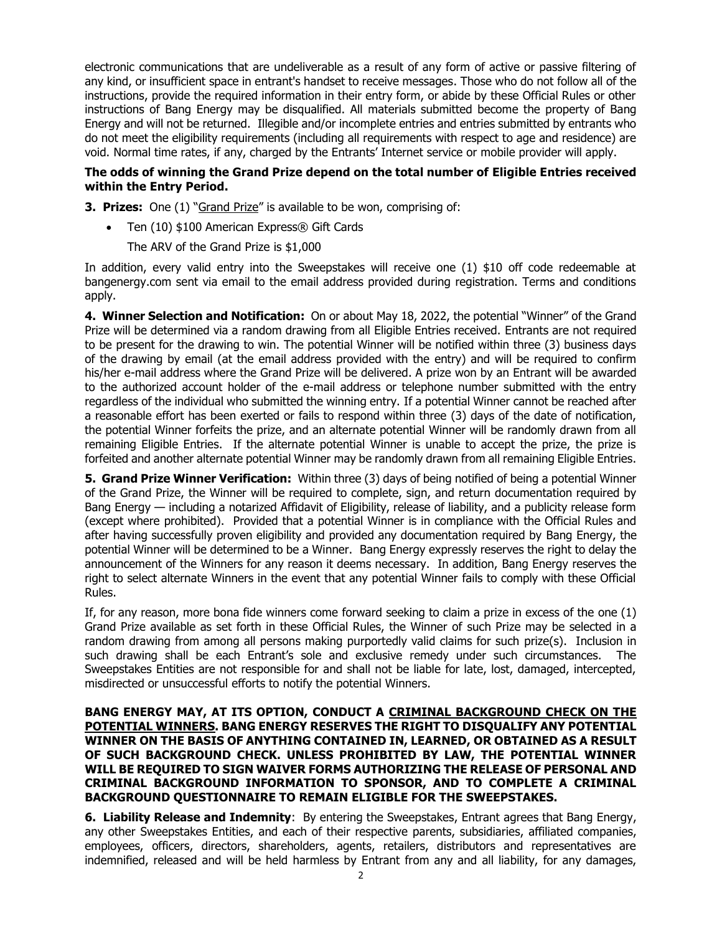electronic communications that are undeliverable as a result of any form of active or passive filtering of any kind, or insufficient space in entrant's handset to receive messages. Those who do not follow all of the instructions, provide the required information in their entry form, or abide by these Official Rules or other instructions of Bang Energy may be disqualified. All materials submitted become the property of Bang Energy and will not be returned. Illegible and/or incomplete entries and entries submitted by entrants who do not meet the eligibility requirements (including all requirements with respect to age and residence) are void. Normal time rates, if any, charged by the Entrants' Internet service or mobile provider will apply.

# **The odds of winning the Grand Prize depend on the total number of Eligible Entries received within the Entry Period.**

**3. Prizes:** One (1) "Grand Prize" is available to be won, comprising of:

• Ten (10) \$100 American Express® Gift Cards

The ARV of the Grand Prize is \$1,000

In addition, every valid entry into the Sweepstakes will receive one (1) \$10 off code redeemable at bangenergy.com sent via email to the email address provided during registration. Terms and conditions apply.

**4. Winner Selection and Notification:** On or about May 18, 2022, the potential "Winner" of the Grand Prize will be determined via a random drawing from all Eligible Entries received. Entrants are not required to be present for the drawing to win. The potential Winner will be notified within three (3) business days of the drawing by email (at the email address provided with the entry) and will be required to confirm his/her e-mail address where the Grand Prize will be delivered. A prize won by an Entrant will be awarded to the authorized account holder of the e-mail address or telephone number submitted with the entry regardless of the individual who submitted the winning entry. If a potential Winner cannot be reached after a reasonable effort has been exerted or fails to respond within three (3) days of the date of notification, the potential Winner forfeits the prize, and an alternate potential Winner will be randomly drawn from all remaining Eligible Entries. If the alternate potential Winner is unable to accept the prize, the prize is forfeited and another alternate potential Winner may be randomly drawn from all remaining Eligible Entries.

**5. Grand Prize Winner Verification:** Within three (3) days of being notified of being a potential Winner of the Grand Prize, the Winner will be required to complete, sign, and return documentation required by Bang Energy — including a notarized Affidavit of Eligibility, release of liability, and a publicity release form (except where prohibited). Provided that a potential Winner is in compliance with the Official Rules and after having successfully proven eligibility and provided any documentation required by Bang Energy, the potential Winner will be determined to be a Winner. Bang Energy expressly reserves the right to delay the announcement of the Winners for any reason it deems necessary. In addition, Bang Energy reserves the right to select alternate Winners in the event that any potential Winner fails to comply with these Official Rules.

If, for any reason, more bona fide winners come forward seeking to claim a prize in excess of the one (1) Grand Prize available as set forth in these Official Rules, the Winner of such Prize may be selected in a random drawing from among all persons making purportedly valid claims for such prize(s). Inclusion in such drawing shall be each Entrant's sole and exclusive remedy under such circumstances. The Sweepstakes Entities are not responsible for and shall not be liable for late, lost, damaged, intercepted, misdirected or unsuccessful efforts to notify the potential Winners.

### **BANG ENERGY MAY, AT ITS OPTION, CONDUCT A CRIMINAL BACKGROUND CHECK ON THE POTENTIAL WINNERS. BANG ENERGY RESERVES THE RIGHT TO DISQUALIFY ANY POTENTIAL WINNER ON THE BASIS OF ANYTHING CONTAINED IN, LEARNED, OR OBTAINED AS A RESULT OF SUCH BACKGROUND CHECK. UNLESS PROHIBITED BY LAW, THE POTENTIAL WINNER WILL BE REQUIRED TO SIGN WAIVER FORMS AUTHORIZING THE RELEASE OF PERSONAL AND CRIMINAL BACKGROUND INFORMATION TO SPONSOR, AND TO COMPLETE A CRIMINAL BACKGROUND QUESTIONNAIRE TO REMAIN ELIGIBLE FOR THE SWEEPSTAKES.**

**6. Liability Release and Indemnity**: By entering the Sweepstakes, Entrant agrees that Bang Energy, any other Sweepstakes Entities, and each of their respective parents, subsidiaries, affiliated companies, employees, officers, directors, shareholders, agents, retailers, distributors and representatives are indemnified, released and will be held harmless by Entrant from any and all liability, for any damages,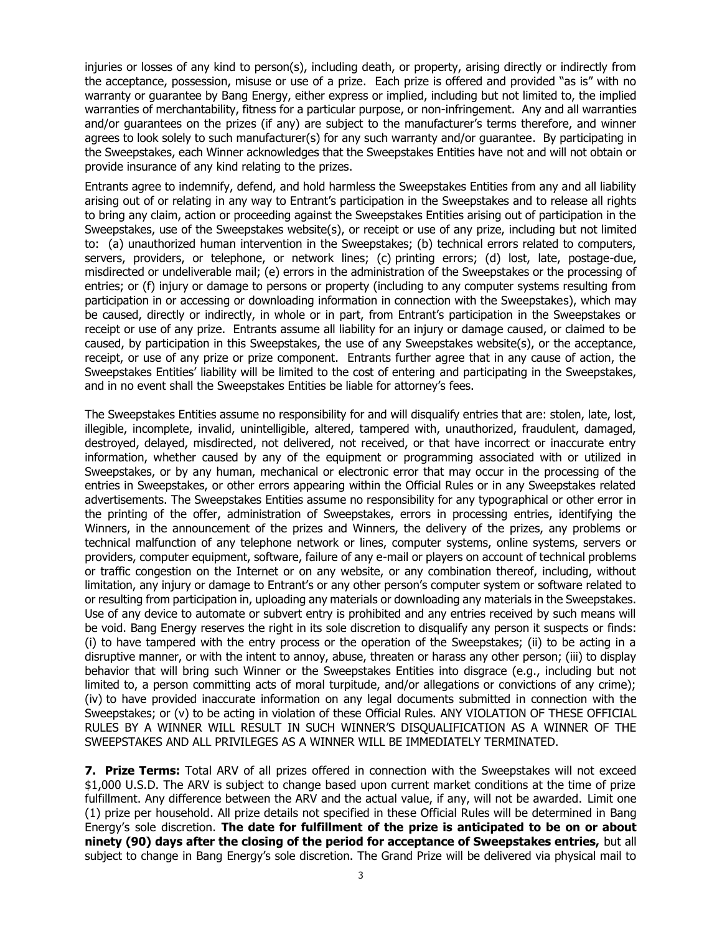injuries or losses of any kind to person(s), including death, or property, arising directly or indirectly from the acceptance, possession, misuse or use of a prize. Each prize is offered and provided "as is" with no warranty or guarantee by Bang Energy, either express or implied, including but not limited to, the implied warranties of merchantability, fitness for a particular purpose, or non-infringement. Any and all warranties and/or guarantees on the prizes (if any) are subject to the manufacturer's terms therefore, and winner agrees to look solely to such manufacturer(s) for any such warranty and/or guarantee. By participating in the Sweepstakes, each Winner acknowledges that the Sweepstakes Entities have not and will not obtain or provide insurance of any kind relating to the prizes.

Entrants agree to indemnify, defend, and hold harmless the Sweepstakes Entities from any and all liability arising out of or relating in any way to Entrant's participation in the Sweepstakes and to release all rights to bring any claim, action or proceeding against the Sweepstakes Entities arising out of participation in the Sweepstakes, use of the Sweepstakes website(s), or receipt or use of any prize, including but not limited to: (a) unauthorized human intervention in the Sweepstakes; (b) technical errors related to computers, servers, providers, or telephone, or network lines; (c) printing errors; (d) lost, late, postage-due, misdirected or undeliverable mail; (e) errors in the administration of the Sweepstakes or the processing of entries; or (f) injury or damage to persons or property (including to any computer systems resulting from participation in or accessing or downloading information in connection with the Sweepstakes), which may be caused, directly or indirectly, in whole or in part, from Entrant's participation in the Sweepstakes or receipt or use of any prize. Entrants assume all liability for an injury or damage caused, or claimed to be caused, by participation in this Sweepstakes, the use of any Sweepstakes website(s), or the acceptance, receipt, or use of any prize or prize component. Entrants further agree that in any cause of action, the Sweepstakes Entities' liability will be limited to the cost of entering and participating in the Sweepstakes, and in no event shall the Sweepstakes Entities be liable for attorney's fees.

The Sweepstakes Entities assume no responsibility for and will disqualify entries that are: stolen, late, lost, illegible, incomplete, invalid, unintelligible, altered, tampered with, unauthorized, fraudulent, damaged, destroyed, delayed, misdirected, not delivered, not received, or that have incorrect or inaccurate entry information, whether caused by any of the equipment or programming associated with or utilized in Sweepstakes, or by any human, mechanical or electronic error that may occur in the processing of the entries in Sweepstakes, or other errors appearing within the Official Rules or in any Sweepstakes related advertisements. The Sweepstakes Entities assume no responsibility for any typographical or other error in the printing of the offer, administration of Sweepstakes, errors in processing entries, identifying the Winners, in the announcement of the prizes and Winners, the delivery of the prizes, any problems or technical malfunction of any telephone network or lines, computer systems, online systems, servers or providers, computer equipment, software, failure of any e-mail or players on account of technical problems or traffic congestion on the Internet or on any website, or any combination thereof, including, without limitation, any injury or damage to Entrant's or any other person's computer system or software related to or resulting from participation in, uploading any materials or downloading any materials in the Sweepstakes. Use of any device to automate or subvert entry is prohibited and any entries received by such means will be void. Bang Energy reserves the right in its sole discretion to disqualify any person it suspects or finds: (i) to have tampered with the entry process or the operation of the Sweepstakes; (ii) to be acting in a disruptive manner, or with the intent to annoy, abuse, threaten or harass any other person; (iii) to display behavior that will bring such Winner or the Sweepstakes Entities into disgrace (e.g., including but not limited to, a person committing acts of moral turpitude, and/or allegations or convictions of any crime); (iv) to have provided inaccurate information on any legal documents submitted in connection with the Sweepstakes; or (v) to be acting in violation of these Official Rules. ANY VIOLATION OF THESE OFFICIAL RULES BY A WINNER WILL RESULT IN SUCH WINNER'S DISQUALIFICATION AS A WINNER OF THE SWEEPSTAKES AND ALL PRIVILEGES AS A WINNER WILL BE IMMEDIATELY TERMINATED.

**7. Prize Terms:** Total ARV of all prizes offered in connection with the Sweepstakes will not exceed \$1,000 U.S.D. The ARV is subject to change based upon current market conditions at the time of prize fulfillment. Any difference between the ARV and the actual value, if any, will not be awarded. Limit one (1) prize per household. All prize details not specified in these Official Rules will be determined in Bang Energy's sole discretion. **The date for fulfillment of the prize is anticipated to be on or about ninety (90) days after the closing of the period for acceptance of Sweepstakes entries,** but all subject to change in Bang Energy's sole discretion. The Grand Prize will be delivered via physical mail to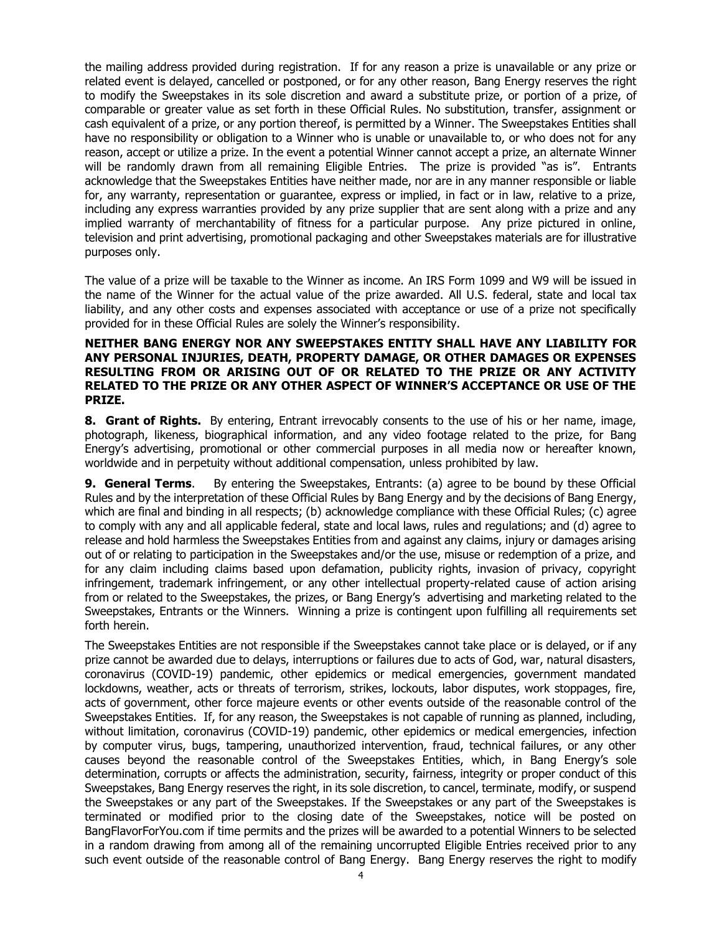the mailing address provided during registration. If for any reason a prize is unavailable or any prize or related event is delayed, cancelled or postponed, or for any other reason, Bang Energy reserves the right to modify the Sweepstakes in its sole discretion and award a substitute prize, or portion of a prize, of comparable or greater value as set forth in these Official Rules. No substitution, transfer, assignment or cash equivalent of a prize, or any portion thereof, is permitted by a Winner. The Sweepstakes Entities shall have no responsibility or obligation to a Winner who is unable or unavailable to, or who does not for any reason, accept or utilize a prize. In the event a potential Winner cannot accept a prize, an alternate Winner will be randomly drawn from all remaining Eligible Entries. The prize is provided "as is". Entrants acknowledge that the Sweepstakes Entities have neither made, nor are in any manner responsible or liable for, any warranty, representation or guarantee, express or implied, in fact or in law, relative to a prize, including any express warranties provided by any prize supplier that are sent along with a prize and any implied warranty of merchantability of fitness for a particular purpose. Any prize pictured in online, television and print advertising, promotional packaging and other Sweepstakes materials are for illustrative purposes only.

The value of a prize will be taxable to the Winner as income. An IRS Form 1099 and W9 will be issued in the name of the Winner for the actual value of the prize awarded. All U.S. federal, state and local tax liability, and any other costs and expenses associated with acceptance or use of a prize not specifically provided for in these Official Rules are solely the Winner's responsibility.

### **NEITHER BANG ENERGY NOR ANY SWEEPSTAKES ENTITY SHALL HAVE ANY LIABILITY FOR ANY PERSONAL INJURIES, DEATH, PROPERTY DAMAGE, OR OTHER DAMAGES OR EXPENSES RESULTING FROM OR ARISING OUT OF OR RELATED TO THE PRIZE OR ANY ACTIVITY RELATED TO THE PRIZE OR ANY OTHER ASPECT OF WINNER'S ACCEPTANCE OR USE OF THE PRIZE.**

**8. Grant of Rights.** By entering, Entrant irrevocably consents to the use of his or her name, image, photograph, likeness, biographical information, and any video footage related to the prize, for Bang Energy's advertising, promotional or other commercial purposes in all media now or hereafter known, worldwide and in perpetuity without additional compensation, unless prohibited by law.

**9. General Terms**. By entering the Sweepstakes, Entrants: (a) agree to be bound by these Official Rules and by the interpretation of these Official Rules by Bang Energy and by the decisions of Bang Energy, which are final and binding in all respects; (b) acknowledge compliance with these Official Rules; (c) agree to comply with any and all applicable federal, state and local laws, rules and regulations; and (d) agree to release and hold harmless the Sweepstakes Entities from and against any claims, injury or damages arising out of or relating to participation in the Sweepstakes and/or the use, misuse or redemption of a prize, and for any claim including claims based upon defamation, publicity rights, invasion of privacy, copyright infringement, trademark infringement, or any other intellectual property-related cause of action arising from or related to the Sweepstakes, the prizes, or Bang Energy's advertising and marketing related to the Sweepstakes, Entrants or the Winners. Winning a prize is contingent upon fulfilling all requirements set forth herein.

The Sweepstakes Entities are not responsible if the Sweepstakes cannot take place or is delayed, or if any prize cannot be awarded due to delays, interruptions or failures due to acts of God, war, natural disasters, coronavirus (COVID-19) pandemic, other epidemics or medical emergencies, government mandated lockdowns, weather, acts or threats of terrorism, strikes, lockouts, labor disputes, work stoppages, fire, acts of government, other force majeure events or other events outside of the reasonable control of the Sweepstakes Entities. If, for any reason, the Sweepstakes is not capable of running as planned, including, without limitation, coronavirus (COVID-19) pandemic, other epidemics or medical emergencies, infection by computer virus, bugs, tampering, unauthorized intervention, fraud, technical failures, or any other causes beyond the reasonable control of the Sweepstakes Entities, which, in Bang Energy's sole determination, corrupts or affects the administration, security, fairness, integrity or proper conduct of this Sweepstakes, Bang Energy reserves the right, in its sole discretion, to cancel, terminate, modify, or suspend the Sweepstakes or any part of the Sweepstakes. If the Sweepstakes or any part of the Sweepstakes is terminated or modified prior to the closing date of the Sweepstakes, notice will be posted on BangFlavorForYou.com if time permits and the prizes will be awarded to a potential Winners to be selected in a random drawing from among all of the remaining uncorrupted Eligible Entries received prior to any such event outside of the reasonable control of Bang Energy. Bang Energy reserves the right to modify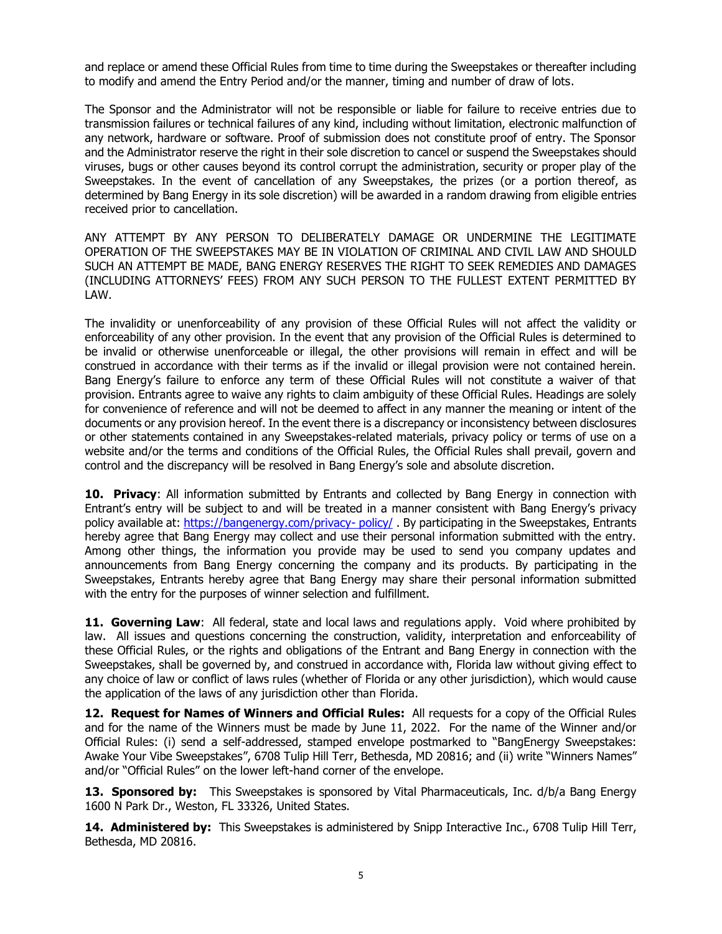and replace or amend these Official Rules from time to time during the Sweepstakes or thereafter including to modify and amend the Entry Period and/or the manner, timing and number of draw of lots.

The Sponsor and the Administrator will not be responsible or liable for failure to receive entries due to transmission failures or technical failures of any kind, including without limitation, electronic malfunction of any network, hardware or software. Proof of submission does not constitute proof of entry. The Sponsor and the Administrator reserve the right in their sole discretion to cancel or suspend the Sweepstakes should viruses, bugs or other causes beyond its control corrupt the administration, security or proper play of the Sweepstakes. In the event of cancellation of any Sweepstakes, the prizes (or a portion thereof, as determined by Bang Energy in its sole discretion) will be awarded in a random drawing from eligible entries received prior to cancellation.

ANY ATTEMPT BY ANY PERSON TO DELIBERATELY DAMAGE OR UNDERMINE THE LEGITIMATE OPERATION OF THE SWEEPSTAKES MAY BE IN VIOLATION OF CRIMINAL AND CIVIL LAW AND SHOULD SUCH AN ATTEMPT BE MADE, BANG ENERGY RESERVES THE RIGHT TO SEEK REMEDIES AND DAMAGES (INCLUDING ATTORNEYS' FEES) FROM ANY SUCH PERSON TO THE FULLEST EXTENT PERMITTED BY LAW.

The invalidity or unenforceability of any provision of these Official Rules will not affect the validity or enforceability of any other provision. In the event that any provision of the Official Rules is determined to be invalid or otherwise unenforceable or illegal, the other provisions will remain in effect and will be construed in accordance with their terms as if the invalid or illegal provision were not contained herein. Bang Energy's failure to enforce any term of these Official Rules will not constitute a waiver of that provision. Entrants agree to waive any rights to claim ambiguity of these Official Rules. Headings are solely for convenience of reference and will not be deemed to affect in any manner the meaning or intent of the documents or any provision hereof. In the event there is a discrepancy or inconsistency between disclosures or other statements contained in any Sweepstakes-related materials, privacy policy or terms of use on a website and/or the terms and conditions of the Official Rules, the Official Rules shall prevail, govern and control and the discrepancy will be resolved in Bang Energy's sole and absolute discretion.

**10. Privacy**: All information submitted by Entrants and collected by Bang Energy in connection with Entrant's entry will be subject to and will be treated in a manner consistent with Bang Energy's privacy policy available at: [https://bangenergy.com/privacy-](https://bangenergy.com/privacy-%20policy/) policy/ . By participating in the Sweepstakes, Entrants hereby agree that Bang Energy may collect and use their personal information submitted with the entry. Among other things, the information you provide may be used to send you company updates and announcements from Bang Energy concerning the company and its products. By participating in the Sweepstakes, Entrants hereby agree that Bang Energy may share their personal information submitted with the entry for the purposes of winner selection and fulfillment.

**11. Governing Law**: All federal, state and local laws and regulations apply. Void where prohibited by law. All issues and questions concerning the construction, validity, interpretation and enforceability of these Official Rules, or the rights and obligations of the Entrant and Bang Energy in connection with the Sweepstakes, shall be governed by, and construed in accordance with, Florida law without giving effect to any choice of law or conflict of laws rules (whether of Florida or any other jurisdiction), which would cause the application of the laws of any jurisdiction other than Florida.

**12. Request for Names of Winners and Official Rules:** All requests for a copy of the Official Rules and for the name of the Winners must be made by June 11, 2022. For the name of the Winner and/or Official Rules: (i) send a self-addressed, stamped envelope postmarked to "BangEnergy Sweepstakes: Awake Your Vibe Sweepstakes", 6708 Tulip Hill Terr, Bethesda, MD 20816; and (ii) write "Winners Names" and/or "Official Rules" on the lower left-hand corner of the envelope.

13. Sponsored by: This Sweepstakes is sponsored by Vital Pharmaceuticals, Inc. d/b/a Bang Energy 1600 N Park Dr., Weston, FL 33326, United States.

**14. Administered by:** This Sweepstakes is administered by Snipp Interactive Inc., 6708 Tulip Hill Terr, Bethesda, MD 20816.